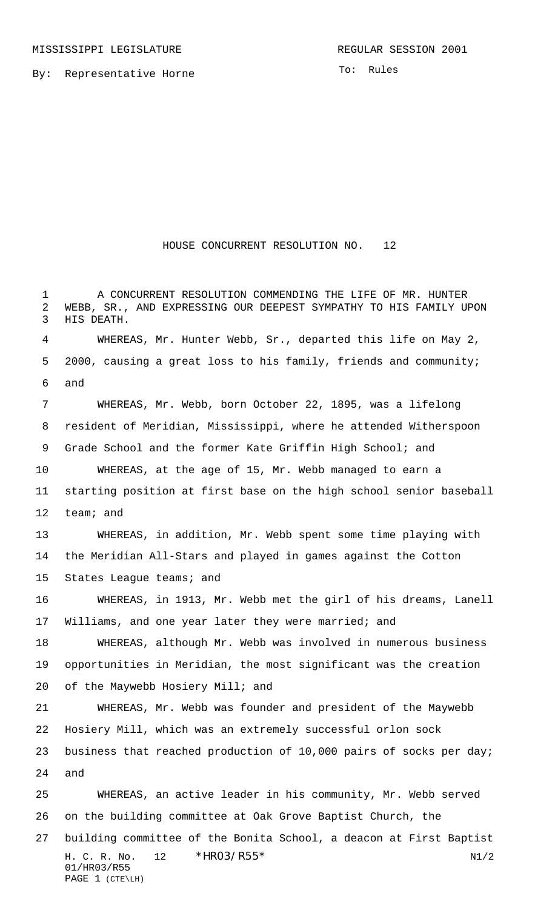By: Representative Horne

To: Rules

## HOUSE CONCURRENT RESOLUTION NO. 12

H. C. R. No. 12 \* HRO3/R55\* N1/2 01/HR03/R55 A CONCURRENT RESOLUTION COMMENDING THE LIFE OF MR. HUNTER WEBB, SR., AND EXPRESSING OUR DEEPEST SYMPATHY TO HIS FAMILY UPON HIS DEATH. WHEREAS, Mr. Hunter Webb, Sr., departed this life on May 2, 2000, causing a great loss to his family, friends and community; and WHEREAS, Mr. Webb, born October 22, 1895, was a lifelong resident of Meridian, Mississippi, where he attended Witherspoon Grade School and the former Kate Griffin High School; and WHEREAS, at the age of 15, Mr. Webb managed to earn a starting position at first base on the high school senior baseball team; and WHEREAS, in addition, Mr. Webb spent some time playing with the Meridian All-Stars and played in games against the Cotton 15 States League teams; and WHEREAS, in 1913, Mr. Webb met the girl of his dreams, Lanell Williams, and one year later they were married; and WHEREAS, although Mr. Webb was involved in numerous business opportunities in Meridian, the most significant was the creation of the Maywebb Hosiery Mill; and WHEREAS, Mr. Webb was founder and president of the Maywebb Hosiery Mill, which was an extremely successful orlon sock business that reached production of 10,000 pairs of socks per day; and WHEREAS, an active leader in his community, Mr. Webb served on the building committee at Oak Grove Baptist Church, the building committee of the Bonita School, a deacon at First Baptist

```
PAGE 1 (CTE\LH)
```